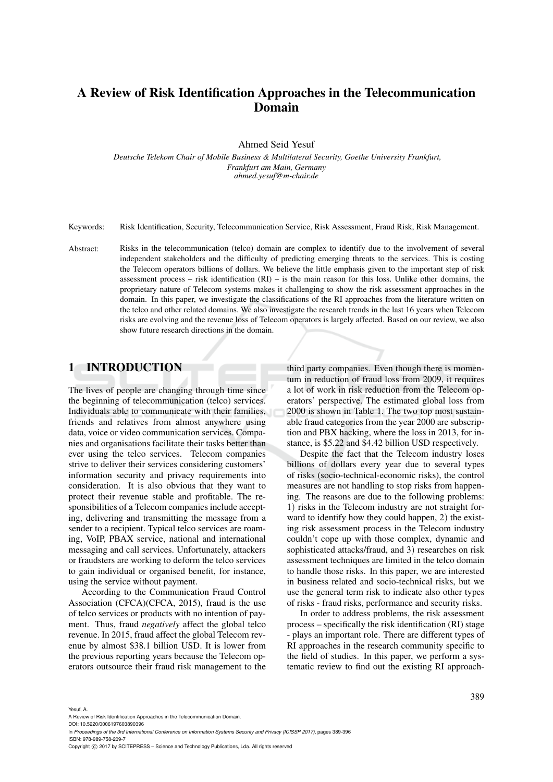# A Review of Risk Identification Approaches in the Telecommunication Domain

Ahmed Seid Yesuf

*Deutsche Telekom Chair of Mobile Business & Multilateral Security, Goethe University Frankfurt, Frankfurt am Main, Germany ahmed.yesuf@m-chair.de*

Keywords: Risk Identification, Security, Telecommunication Service, Risk Assessment, Fraud Risk, Risk Management.

Abstract: Risks in the telecommunication (telco) domain are complex to identify due to the involvement of several independent stakeholders and the difficulty of predicting emerging threats to the services. This is costing the Telecom operators billions of dollars. We believe the little emphasis given to the important step of risk assessment process – risk identification  $(RI)$  – is the main reason for this loss. Unlike other domains, the proprietary nature of Telecom systems makes it challenging to show the risk assessment approaches in the domain. In this paper, we investigate the classifications of the RI approaches from the literature written on the telco and other related domains. We also investigate the research trends in the last 16 years when Telecom risks are evolving and the revenue loss of Telecom operators is largely affected. Based on our review, we also show future research directions in the domain.

#### 1 INTRODUCTION

The lives of people are changing through time since the beginning of telecommunication (telco) services. Individuals able to communicate with their families, friends and relatives from almost anywhere using data, voice or video communication services. Companies and organisations facilitate their tasks better than ever using the telco services. Telecom companies strive to deliver their services considering customers' information security and privacy requirements into consideration. It is also obvious that they want to protect their revenue stable and profitable. The responsibilities of a Telecom companies include accepting, delivering and transmitting the message from a sender to a recipient. Typical telco services are roaming, VoIP, PBAX service, national and international messaging and call services. Unfortunately, attackers or fraudsters are working to deform the telco services to gain individual or organised benefit, for instance, using the service without payment.

According to the Communication Fraud Control Association (CFCA)(CFCA, 2015), fraud is the use of telco services or products with no intention of payment. Thus, fraud *negatively* affect the global telco revenue. In 2015, fraud affect the global Telecom revenue by almost \$38.1 billion USD. It is lower from the previous reporting years because the Telecom operators outsource their fraud risk management to the third party companies. Even though there is momentum in reduction of fraud loss from 2009, it requires a lot of work in risk reduction from the Telecom operators' perspective. The estimated global loss from 2000 is shown in Table 1. The two top most sustainable fraud categories from the year 2000 are subscription and PBX hacking, where the loss in 2013, for instance, is \$5.22 and \$4.42 billion USD respectively.

Despite the fact that the Telecom industry loses billions of dollars every year due to several types of risks (socio-technical-economic risks), the control measures are not handling to stop risks from happening. The reasons are due to the following problems: 1) risks in the Telecom industry are not straight forward to identify how they could happen, 2) the existing risk assessment process in the Telecom industry couldn't cope up with those complex, dynamic and sophisticated attacks/fraud, and 3) researches on risk assessment techniques are limited in the telco domain to handle those risks. In this paper, we are interested in business related and socio-technical risks, but we use the general term risk to indicate also other types of risks - fraud risks, performance and security risks.

In order to address problems, the risk assessment process – specifically the risk identification (RI) stage - plays an important role. There are different types of RI approaches in the research community specific to the field of studies. In this paper, we perform a systematic review to find out the existing RI approach-

DOI: 10.5220/0006197603890396 In *Proceedings of the 3rd International Conference on Information Systems Security and Privacy (ICISSP 2017)*, pages 389-396 ISBN: 978-989-758-209-7

Copyright (C) 2017 by SCITEPRESS - Science and Technology Publications, Lda. All rights reserved

A Review of Risk Identification Approaches in the Telecommunication Domain.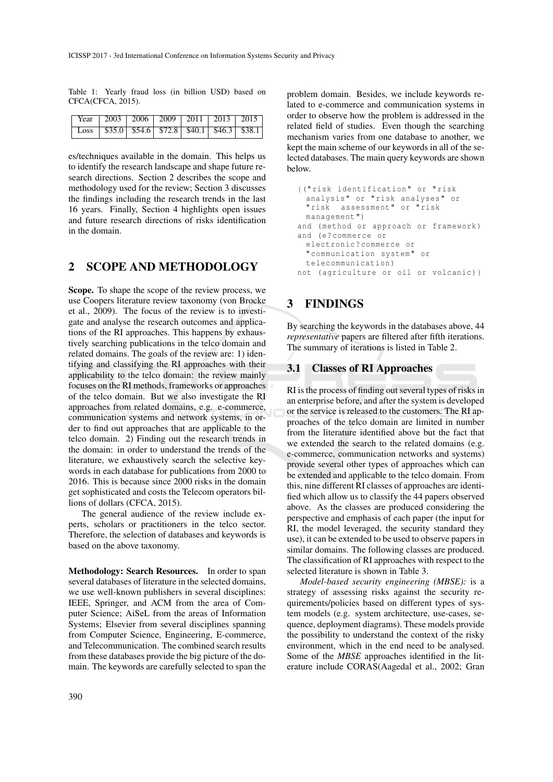Table 1: Yearly fraud loss (in billion USD) based on CFCA(CFCA, 2015).

| $\sqrt{\frac{1}{2003} \times 2003}$ 2006 2009 2011 2013 2015 |  |  |  |
|--------------------------------------------------------------|--|--|--|
|                                                              |  |  |  |

es/techniques available in the domain. This helps us to identify the research landscape and shape future research directions. Section 2 describes the scope and methodology used for the review; Section 3 discusses the findings including the research trends in the last 16 years. Finally, Section 4 highlights open issues and future research directions of risks identification in the domain.

### 2 SCOPE AND METHODOLOGY

Scope. To shape the scope of the review process, we use Coopers literature review taxonomy (von Brocke et al., 2009). The focus of the review is to investigate and analyse the research outcomes and applications of the RI approaches. This happens by exhaustively searching publications in the telco domain and related domains. The goals of the review are: 1) identifying and classifying the RI approaches with their applicability to the telco domain: the review mainly focuses on the RI methods, frameworks or approaches of the telco domain. But we also investigate the RI approaches from related domains, e.g. e-commerce, communication systems and network systems, in order to find out approaches that are applicable to the telco domain. 2) Finding out the research trends in the domain: in order to understand the trends of the literature, we exhaustively search the selective keywords in each database for publications from 2000 to 2016. This is because since 2000 risks in the domain get sophisticated and costs the Telecom operators billions of dollars (CFCA, 2015).

The general audience of the review include experts, scholars or practitioners in the telco sector. Therefore, the selection of databases and keywords is based on the above taxonomy.

Methodology: Search Resources. In order to span several databases of literature in the selected domains, we use well-known publishers in several disciplines: IEEE, Springer, and ACM from the area of Computer Science; AiSeL from the areas of Information Systems; Elsevier from several disciplines spanning from Computer Science, Engineering, E-commerce, and Telecommunication. The combined search results from these databases provide the big picture of the domain. The keywords are carefully selected to span the

problem domain. Besides, we include keywords related to e-commerce and communication systems in order to observe how the problem is addressed in the related field of studies. Even though the searching mechanism varies from one database to another, we kept the main scheme of our keywords in all of the selected databases. The main query keywords are shown below.

```
{(" risk identification " or " risk
 analysis " or " risk analyses " or
 "risk assessment" or "risk
 management ")
and (method or approach or framework)
and (e? commerce or
 electronic ? commerce or
 " communication system " or
 telecommunication )
not (agriculture or oil or volcanic) }
```
## 3 FINDINGS

By searching the keywords in the databases above, 44 *representative* papers are filtered after fifth iterations. The summary of iterations is listed in Table 2.

#### 3.1 Classes of RI Approaches

RI is the process of finding out several types of risks in an enterprise before, and after the system is developed or the service is released to the customers. The RI approaches of the telco domain are limited in number from the literature identified above but the fact that we extended the search to the related domains (e.g. e-commerce, communication networks and systems) provide several other types of approaches which can be extended and applicable to the telco domain. From this, nine different RI classes of approaches are identified which allow us to classify the 44 papers observed above. As the classes are produced considering the perspective and emphasis of each paper (the input for RI, the model leveraged, the security standard they use), it can be extended to be used to observe papers in similar domains. The following classes are produced. The classification of RI approaches with respect to the selected literature is shown in Table 3.

*Model-based security engineering (MBSE):* is a strategy of assessing risks against the security requirements/policies based on different types of system models (e.g. system architecture, use-cases, sequence, deployment diagrams). These models provide the possibility to understand the context of the risky environment, which in the end need to be analysed. Some of the *MBSE* approaches identified in the literature include CORAS(Aagedal et al., 2002; Gran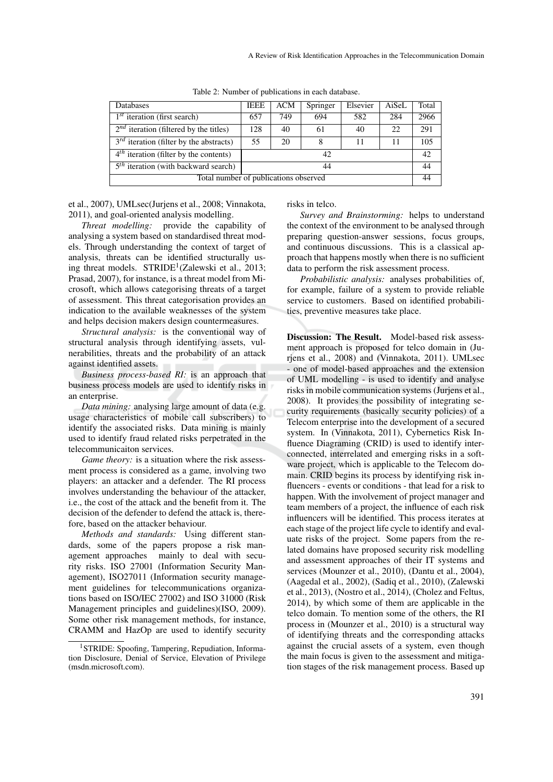| <b>Databases</b>                               | <b>IEEE</b> | <b>ACM</b> | Springer | Elsevier | AiSeL | Total |
|------------------------------------------------|-------------|------------|----------|----------|-------|-------|
| $1st$ iteration (first search)                 | 657         | 749        | 694      | 582      | 284   | 2966  |
| $2^{nd}$ iteration (filtered by the titles)    | 128         | 40         | 61       | 40       | 22    | 291   |
| $3^{rd}$ iteration (filter by the abstracts)   | 55          | 20         | 8        | 11       | 11    | 105   |
| $4th$ iteration (filter by the contents)<br>42 |             |            |          |          | 42    |       |
| $5th$ iteration (with backward search)         | 44          |            |          |          |       | 44    |
| Total number of publications observed          |             |            |          |          | 44    |       |

Table 2: Number of publications in each database.

et al., 2007), UMLsec(Jurjens et al., 2008; Vinnakota, 2011), and goal-oriented analysis modelling.

*Threat modelling:* provide the capability of analysing a system based on standardised threat models. Through understanding the context of target of analysis, threats can be identified structurally using threat models. STRIDE<sup>1</sup>(Zalewski et al., 2013; Prasad, 2007), for instance, is a threat model from Microsoft, which allows categorising threats of a target of assessment. This threat categorisation provides an indication to the available weaknesses of the system and helps decision makers design countermeasures.

*Structural analysis:* is the conventional way of structural analysis through identifying assets, vulnerabilities, threats and the probability of an attack against identified assets.

*Business process-based RI:* is an approach that business process models are used to identify risks in an enterprise.

*Data mining:* analysing large amount of data (e.g. usage characteristics of mobile call subscribers) to identify the associated risks. Data mining is mainly used to identify fraud related risks perpetrated in the telecommunicaiton services.

*Game theory:* is a situation where the risk assessment process is considered as a game, involving two players: an attacker and a defender. The RI process involves understanding the behaviour of the attacker, i.e., the cost of the attack and the benefit from it. The decision of the defender to defend the attack is, therefore, based on the attacker behaviour.

*Methods and standards:* Using different standards, some of the papers propose a risk management approaches mainly to deal with security risks. ISO 27001 (Information Security Management), ISO27011 (Information security management guidelines for telecommunications organizations based on ISO/IEC 27002) and ISO 31000 (Risk Management principles and guidelines)(ISO, 2009). Some other risk management methods, for instance, CRAMM and HazOp are used to identify security

risks in telco.

*Survey and Brainstorming:* helps to understand the context of the environment to be analysed through preparing question-answer sessions, focus groups, and continuous discussions. This is a classical approach that happens mostly when there is no sufficient data to perform the risk assessment process.

*Probabilistic analysis:* analyses probabilities of, for example, failure of a system to provide reliable service to customers. Based on identified probabilities, preventive measures take place.

Discussion: The Result. Model-based risk assessment approach is proposed for telco domain in (Jurjens et al., 2008) and (Vinnakota, 2011). UMLsec - one of model-based approaches and the extension of UML modelling - is used to identify and analyse risks in mobile communication systems (Jurjens et al., 2008). It provides the possibility of integrating security requirements (basically security policies) of a Telecom enterprise into the development of a secured system. In (Vinnakota, 2011), Cybernetics Risk Influence Diagraming (CRID) is used to identify interconnected, interrelated and emerging risks in a software project, which is applicable to the Telecom domain. CRID begins its process by identifying risk influencers - events or conditions - that lead for a risk to happen. With the involvement of project manager and team members of a project, the influence of each risk influencers will be identified. This process iterates at each stage of the project life cycle to identify and evaluate risks of the project. Some papers from the related domains have proposed security risk modelling and assessment approaches of their IT systems and services (Mounzer et al., 2010), (Dantu et al., 2004), (Aagedal et al., 2002), (Sadiq et al., 2010), (Zalewski et al., 2013), (Nostro et al., 2014), (Cholez and Feltus, 2014), by which some of them are applicable in the telco domain. To mention some of the others, the RI process in (Mounzer et al., 2010) is a structural way of identifying threats and the corresponding attacks against the crucial assets of a system, even though the main focus is given to the assessment and mitigation stages of the risk management process. Based up

<sup>&</sup>lt;sup>1</sup>STRIDE: Spoofing, Tampering, Repudiation, Information Disclosure, Denial of Service, Elevation of Privilege (msdn.microsoft.com).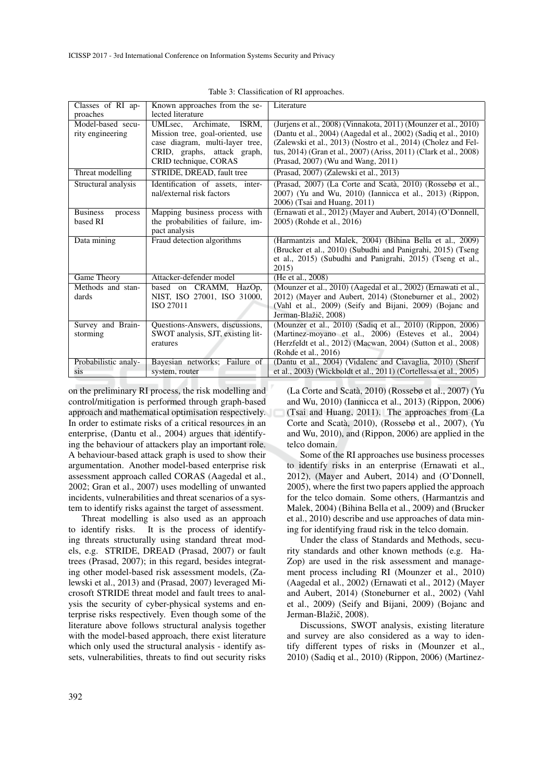| Classes of RI ap-          | Known approaches from the se-     | Literature                                                        |
|----------------------------|-----------------------------------|-------------------------------------------------------------------|
| proaches                   | lected literature                 |                                                                   |
| Model-based secu-          | UMLsec, Archimate, ISRM,          | (Jurjens et al., 2008) (Vinnakota, 2011) (Mounzer et al., 2010)   |
| rity engineering           | Mission tree, goal-oriented, use  | (Dantu et al., 2004) (Aagedal et al., 2002) (Sadiq et al., 2010)  |
|                            | case diagram, multi-layer tree,   | (Zalewski et al., 2013) (Nostro et al., 2014) (Cholez and Fel-    |
|                            | CRID, graphs, attack graph,       | tus, 2014) (Gran et al., 2007) (Ariss, 2011) (Clark et al., 2008) |
|                            | CRID technique, CORAS             | (Prasad, 2007) (Wu and Wang, 2011)                                |
| Threat modelling           | STRIDE, DREAD, fault tree         | (Prasad, 2007) (Zalewski et al., 2013)                            |
| Structural analysis        | Identification of assets, inter-  | (Prasad, 2007) (La Corte and Scatà, 2010) (Rossebø et al.,        |
|                            | nal/external risk factors         | 2007) (Yu and Wu, 2010) (Iannicca et al., 2013) (Rippon,          |
|                            |                                   | 2006) (Tsai and Huang, 2011)                                      |
| <b>Business</b><br>process | Mapping business process with     | (Ernawati et al., 2012) (Mayer and Aubert, 2014) (O'Donnell,      |
| based RI                   | the probabilities of failure, im- | 2005) (Rohde et al., 2016)                                        |
|                            | pact analysis                     |                                                                   |
| Data mining                | Fraud detection algorithms        | (Harmantzis and Malek, 2004) (Bihina Bella et al., 2009)          |
|                            |                                   | (Brucker et al., 2010) (Subudhi and Panigrahi, 2015) (Tseng       |
|                            |                                   | et al., 2015) (Subudhi and Panigrahi, 2015) (Tseng et al.,        |
|                            |                                   | 2015)                                                             |
| Game Theory                | Attacker-defender model           | (He et al., 2008)                                                 |
| Methods and stan-          | based on CRAMM, HazOp,            | (Mounzer et al., 2010) (Aagedal et al., 2002) (Ernawati et al.,   |
| dards                      | NIST, ISO 27001, ISO 31000,       | 2012) (Mayer and Aubert, 2014) (Stoneburner et al., 2002)         |
|                            | ISO 27011                         | (Vahl et al., 2009) (Seify and Bijani, 2009) (Bojanc and          |
|                            |                                   | Jerman-Blažič, 2008)                                              |
| Survey and Brain-          | Questions-Answers, discussions,   | (Mounzer et al., 2010) (Sadiq et al., 2010) (Rippon, 2006)        |
| storming                   | SWOT analysis, SJT, existing lit- | (Martinez-moyano et al., 2006) (Esteves et al., 2004)             |
|                            | eratures                          | (Herzfeldt et al., 2012) (Macwan, 2004) (Sutton et al., 2008)     |
|                            |                                   | (Rohde et al., 2016)                                              |
| Probabilistic analy-       | Bayesian networks; Failure of     | (Dantu et al., 2004) (Vidalenc and Ciavaglia, 2010) (Sherif       |
| sis                        | system, router                    | et al., 2003) (Wickboldt et al., 2011) (Cortellessa et al., 2005) |

Table 3: Classification of RI approaches.

on the preliminary RI process, the risk modelling and control/mitigation is performed through graph-based approach and mathematical optimisation respectively. In order to estimate risks of a critical resources in an enterprise, (Dantu et al., 2004) argues that identifying the behaviour of attackers play an important role. A behaviour-based attack graph is used to show their argumentation. Another model-based enterprise risk assessment approach called CORAS (Aagedal et al., 2002; Gran et al., 2007) uses modelling of unwanted incidents, vulnerabilities and threat scenarios of a system to identify risks against the target of assessment.

Threat modelling is also used as an approach to identify risks. It is the process of identifying threats structurally using standard threat models, e.g. STRIDE, DREAD (Prasad, 2007) or fault trees (Prasad, 2007); in this regard, besides integrating other model-based risk assessment models, (Zalewski et al., 2013) and (Prasad, 2007) leveraged Microsoft STRIDE threat model and fault trees to analysis the security of cyber-physical systems and enterprise risks respectively. Even though some of the literature above follows structural analysis together with the model-based approach, there exist literature which only used the structural analysis - identify assets, vulnerabilities, threats to find out security risks

(La Corte and Scata, 2010) (Rossebø et al., 2007) (Yu ` and Wu, 2010) (Iannicca et al., 2013) (Rippon, 2006) (Tsai and Huang, 2011). The approaches from (La Corte and Scata, 2010), (Rossebø et al., 2007), (Yu ` and Wu, 2010), and (Rippon, 2006) are applied in the telco domain.

Some of the RI approaches use business processes to identify risks in an enterprise (Ernawati et al., 2012), (Mayer and Aubert, 2014) and (O'Donnell, 2005), where the first two papers applied the approach for the telco domain. Some others, (Harmantzis and Malek, 2004) (Bihina Bella et al., 2009) and (Brucker et al., 2010) describe and use approaches of data mining for identifying fraud risk in the telco domain.

Under the class of Standards and Methods, security standards and other known methods (e.g. Ha-Zop) are used in the risk assessment and management process including RI (Mounzer et al., 2010) (Aagedal et al., 2002) (Ernawati et al., 2012) (Mayer and Aubert, 2014) (Stoneburner et al., 2002) (Vahl et al., 2009) (Seify and Bijani, 2009) (Bojanc and Jerman-Blažič, 2008).

Discussions, SWOT analysis, existing literature and survey are also considered as a way to identify different types of risks in (Mounzer et al., 2010) (Sadiq et al., 2010) (Rippon, 2006) (Martinez-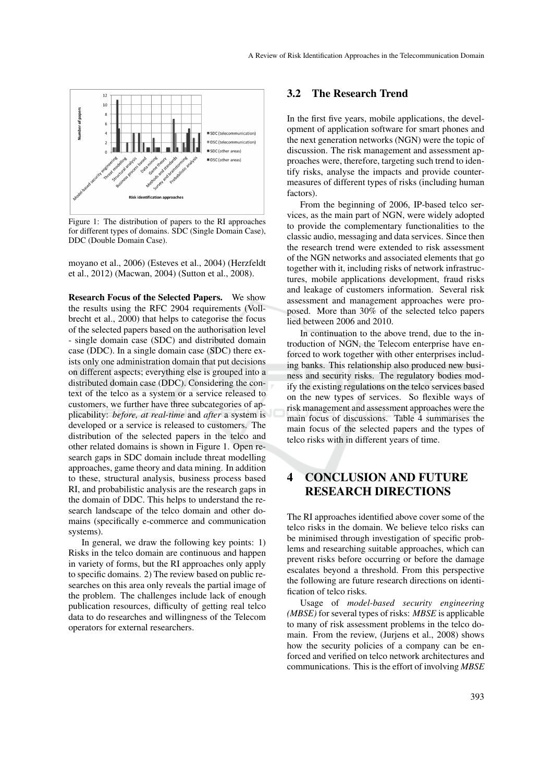

Figure 1: The distribution of papers to the RI approaches for different types of domains. SDC (Single Domain Case), DDC (Double Domain Case).

moyano et al., 2006) (Esteves et al., 2004) (Herzfeldt et al., 2012) (Macwan, 2004) (Sutton et al., 2008).

Research Focus of the Selected Papers. We show the results using the RFC 2904 requirements (Vollbrecht et al., 2000) that helps to categorise the focus of the selected papers based on the authorisation level - single domain case (SDC) and distributed domain case (DDC). In a single domain case (SDC) there exists only one administration domain that put decisions on different aspects; everything else is grouped into a distributed domain case (DDC). Considering the context of the telco as a system or a service released to customers, we further have three subcategories of applicability: *before, at real-time* and *after* a system is developed or a service is released to customers. The distribution of the selected papers in the telco and other related domains is shown in Figure 1. Open research gaps in SDC domain include threat modelling approaches, game theory and data mining. In addition to these, structural analysis, business process based RI, and probabilistic analysis are the research gaps in the domain of DDC. This helps to understand the research landscape of the telco domain and other domains (specifically e-commerce and communication systems).

In general, we draw the following key points: 1) Risks in the telco domain are continuous and happen in variety of forms, but the RI approaches only apply to specific domains. 2) The review based on public researches on this area only reveals the partial image of the problem. The challenges include lack of enough publication resources, difficulty of getting real telco data to do researches and willingness of the Telecom operators for external researchers.

#### 3.2 The Research Trend

In the first five years, mobile applications, the development of application software for smart phones and the next generation networks (NGN) were the topic of discussion. The risk management and assessment approaches were, therefore, targeting such trend to identify risks, analyse the impacts and provide countermeasures of different types of risks (including human factors).

From the beginning of 2006, IP-based telco services, as the main part of NGN, were widely adopted to provide the complementary functionalities to the classic audio, messaging and data services. Since then the research trend were extended to risk assessment of the NGN networks and associated elements that go together with it, including risks of network infrastructures, mobile applications development, fraud risks and leakage of customers information. Several risk assessment and management approaches were proposed. More than 30% of the selected telco papers lied between 2006 and 2010.

In continuation to the above trend, due to the introduction of NGN, the Telecom enterprise have enforced to work together with other enterprises including banks. This relationship also produced new business and security risks. The regulatory bodies modify the existing regulations on the telco services based on the new types of services. So flexible ways of risk management and assessment approaches were the main focus of discussions. Table 4 summarises the main focus of the selected papers and the types of telco risks with in different years of time.

## 4 CONCLUSION AND FUTURE RESEARCH DIRECTIONS

The RI approaches identified above cover some of the telco risks in the domain. We believe telco risks can be minimised through investigation of specific problems and researching suitable approaches, which can prevent risks before occurring or before the damage escalates beyond a threshold. From this perspective the following are future research directions on identification of telco risks.

Usage of *model-based security engineering (MBSE)* for several types of risks: *MBSE* is applicable to many of risk assessment problems in the telco domain. From the review, (Jurjens et al., 2008) shows how the security policies of a company can be enforced and verified on telco network architectures and communications. This is the effort of involving *MBSE*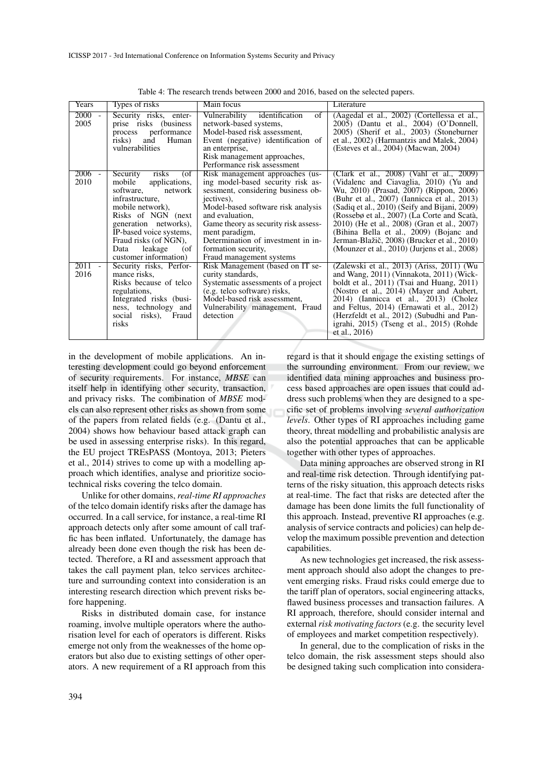| Years            | Types of risks                                                                                                                                                                                                                                                           | Main focus                                                                                                                                                                                                                                                                                                                           | Literature                                                                                                                                                                                                                                                                                                                                                                                                                                                             |
|------------------|--------------------------------------------------------------------------------------------------------------------------------------------------------------------------------------------------------------------------------------------------------------------------|--------------------------------------------------------------------------------------------------------------------------------------------------------------------------------------------------------------------------------------------------------------------------------------------------------------------------------------|------------------------------------------------------------------------------------------------------------------------------------------------------------------------------------------------------------------------------------------------------------------------------------------------------------------------------------------------------------------------------------------------------------------------------------------------------------------------|
| $2000 -$<br>2005 | Security risks, enter-<br>prise risks (business<br>performance<br>process<br>risks)<br>Human<br>and<br>vulnerabilities                                                                                                                                                   | Vulnerability<br>identification<br>$\sigma$<br>network-based systems,<br>Model-based risk assessment,<br>Event (negative) identification of<br>an enterprise,<br>Risk management approaches,<br>Performance risk assessment                                                                                                          | (Aagedal et al., 2002) (Cortellessa et al.,<br>2005) (Dantu et al., 2004) (O'Donnell,<br>2005) (Sherif et al., 2003) (Stoneburner<br>et al., 2002) (Harmantzis and Malek, 2004)<br>(Esteves et al., 2004) (Macwan, 2004)                                                                                                                                                                                                                                               |
| $2006 -$<br>2010 | risks<br>Security<br>(of<br>mobile<br>applications,<br>software,<br>network<br>infrastructure.<br>mobile network),<br>Risks of NGN (next<br>generation networks),<br>IP-based voice systems,<br>Fraud risks (of NGN),<br>leakage<br>(of<br>Data<br>customer information) | Risk management approaches (us-<br>ing model-based security risk as-<br>sessment, considering business ob-<br>jectives),<br>Model-based software risk analysis<br>and evaluation.<br>Game theory as security risk assess-<br>ment paradigm,<br>Determination of investment in in-<br>formation security,<br>Fraud management systems | (Clark et al., 2008) (Vahl et al., 2009)<br>(Vidalenc and Ciavaglia, 2010) (Yu and<br>Wu, 2010) (Prasad, 2007) (Rippon, 2006)<br>(Buhr et al., 2007) (Iannicca et al., 2013)<br>(Sadiq et al., 2010) (Seify and Bijani, 2009)<br>(Rossebø et al., 2007) (La Corte and Scatà,<br>2010) (He et al., 2008) (Gran et al., 2007)<br>(Bihina Bella et al., 2009) (Bojanc and<br>Jerman-Blažič, 2008) (Brucker et al., 2010)<br>(Mounzer et al., 2010) (Juriens et al., 2008) |
| $2011 -$<br>2016 | Security risks, Perfor-<br>mance risks,<br>Risks because of telco<br>regulations,<br>Integrated risks (busi-<br>ness, technology and<br>social risks), Fraud<br>risks                                                                                                    | Risk Management (based on IT se-<br>curity standards,<br>Systematic assessments of a project<br>(e.g. telco software) risks,<br>Model-based risk assessment.<br>Vulnerability management, Fraud<br>detection                                                                                                                         | (Zalewski et al., 2013) (Ariss, 2011) (Wu<br>and Wang, 2011) (Vinnakota, 2011) (Wick-<br>boldt et al., 2011) (Tsai and Huang, 2011)<br>(Nostro et al., 2014) (Mayer and Aubert,<br>2014) (Iannicca et al., 2013) (Cholez<br>and Feltus, 2014) (Ernawati et al., 2012)<br>(Herzfeldt et al., 2012) (Subudhi and Pan-<br>igrahi, 2015) (Tseng et al., 2015) (Rohde<br>et al., $2016$                                                                                     |

Table 4: The research trends between 2000 and 2016, based on the selected papers.

in the development of mobile applications. An interesting development could go beyond enforcement of security requirements. For instance, *MBSE* can itself help in identifying other security, transaction, and privacy risks. The combination of *MBSE* models can also represent other risks as shown from some of the papers from related fields (e.g. (Dantu et al., 2004) shows how behaviour based attack graph can be used in assessing enterprise risks). In this regard, the EU project TREsPASS (Montoya, 2013; Pieters et al., 2014) strives to come up with a modelling approach which identifies, analyse and prioritize sociotechnical risks covering the telco domain.

Unlike for other domains, *real-time RI approaches* of the telco domain identify risks after the damage has occurred. In a call service, for instance, a real-time RI approach detects only after some amount of call traffic has been inflated. Unfortunately, the damage has already been done even though the risk has been detected. Therefore, a RI and assessment approach that takes the call payment plan, telco services architecture and surrounding context into consideration is an interesting research direction which prevent risks before happening.

Risks in distributed domain case, for instance roaming, involve multiple operators where the authorisation level for each of operators is different. Risks emerge not only from the weaknesses of the home operators but also due to existing settings of other operators. A new requirement of a RI approach from this

regard is that it should engage the existing settings of the surrounding environment. From our review, we identified data mining approaches and business process based approaches are open issues that could address such problems when they are designed to a specific set of problems involving *several authorization levels*. Other types of RI approaches including game theory, threat modelling and probabilistic analysis are also the potential approaches that can be applicable together with other types of approaches.

Data mining approaches are observed strong in RI and real-time risk detection. Through identifying patterns of the risky situation, this approach detects risks at real-time. The fact that risks are detected after the damage has been done limits the full functionality of this approach. Instead, preventive RI approaches (e.g. analysis of service contracts and policies) can help develop the maximum possible prevention and detection capabilities.

As new technologies get increased, the risk assessment approach should also adopt the changes to prevent emerging risks. Fraud risks could emerge due to the tariff plan of operators, social engineering attacks, flawed business processes and transaction failures. A RI approach, therefore, should consider internal and external *risk motivating factors* (e.g. the security level of employees and market competition respectively).

In general, due to the complication of risks in the telco domain, the risk assessment steps should also be designed taking such complication into considera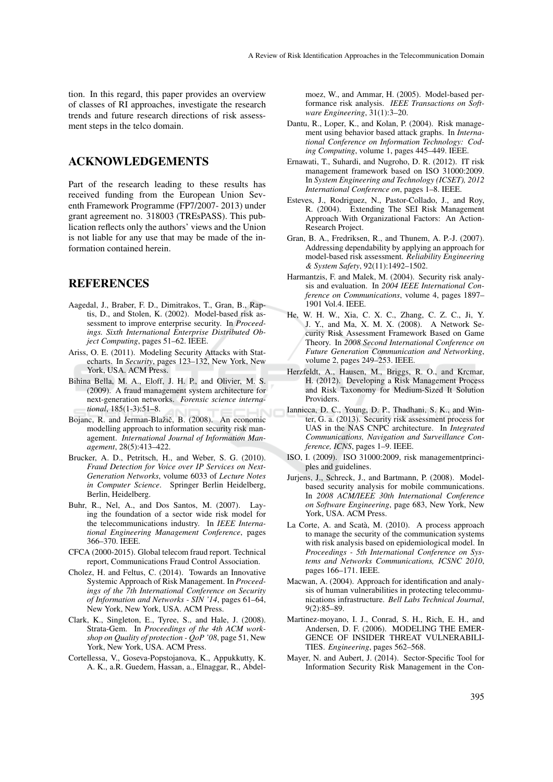tion. In this regard, this paper provides an overview of classes of RI approaches, investigate the research trends and future research directions of risk assessment steps in the telco domain.

## ACKNOWLEDGEMENTS

Part of the research leading to these results has received funding from the European Union Seventh Framework Programme (FP7/2007- 2013) under grant agreement no. 318003 (TREsPASS). This publication reflects only the authors' views and the Union is not liable for any use that may be made of the information contained herein.

### REFERENCES

- Aagedal, J., Braber, F. D., Dimitrakos, T., Gran, B., Raptis, D., and Stolen, K. (2002). Model-based risk assessment to improve enterprise security. In *Proceedings. Sixth International Enterprise Distributed Object Computing*, pages 51–62. IEEE.
- Ariss, O. E. (2011). Modeling Security Attacks with Statecharts. In *Security*, pages 123–132, New York, New York, USA. ACM Press.
- Bihina Bella, M. A., Eloff, J. H. P., and Olivier, M. S. (2009). A fraud management system architecture for next-generation networks. *Forensic science international*, 185(1-3):51–8.
- Bojanc, R. and Jerman-Blažič, B. (2008). An economic modelling approach to information security risk management. *International Journal of Information Management*, 28(5):413–422.
- Brucker, A. D., Petritsch, H., and Weber, S. G. (2010). *Fraud Detection for Voice over IP Services on Next-Generation Networks*, volume 6033 of *Lecture Notes in Computer Science*. Springer Berlin Heidelberg, Berlin, Heidelberg.
- Buhr, R., Nel, A., and Dos Santos, M. (2007). Laying the foundation of a sector wide risk model for the telecommunications industry. In *IEEE International Engineering Management Conference*, pages 366–370. IEEE.
- CFCA (2000-2015). Global telecom fraud report. Technical report, Communications Fraud Control Association.
- Cholez, H. and Feltus, C. (2014). Towards an Innovative Systemic Approach of Risk Management. In *Proceedings of the 7th International Conference on Security of Information and Networks - SIN '14*, pages 61–64, New York, New York, USA. ACM Press.
- Clark, K., Singleton, E., Tyree, S., and Hale, J. (2008). Strata-Gem. In *Proceedings of the 4th ACM workshop on Quality of protection - QoP '08*, page 51, New York, New York, USA. ACM Press.
- Cortellessa, V., Goseva-Popstojanova, K., Appukkutty, K. A. K., a.R. Guedem, Hassan, a., Elnaggar, R., Abdel-

moez, W., and Ammar, H. (2005). Model-based performance risk analysis. *IEEE Transactions on Software Engineering*, 31(1):3–20.

- Dantu, R., Loper, K., and Kolan, P. (2004). Risk management using behavior based attack graphs. In *International Conference on Information Technology: Coding Computing*, volume 1, pages 445–449. IEEE.
- Ernawati, T., Suhardi, and Nugroho, D. R. (2012). IT risk management framework based on ISO 31000:2009. In *System Engineering and Technology (ICSET), 2012 International Conference on*, pages 1–8. IEEE.
- Esteves, J., Rodriguez, N., Pastor-Collado, J., and Roy, R. (2004). Extending The SEI Risk Management Approach With Organizational Factors: An Action-Research Project.
- Gran, B. A., Fredriksen, R., and Thunem, A. P.-J. (2007). Addressing dependability by applying an approach for model-based risk assessment. *Reliability Engineering & System Safety*, 92(11):1492–1502.
- Harmantzis, F. and Malek, M. (2004). Security risk analysis and evaluation. In *2004 IEEE International Conference on Communications*, volume 4, pages 1897– 1901 Vol.4. IEEE.
- He, W. H. W., Xia, C. X. C., Zhang, C. Z. C., Ji, Y. J. Y., and Ma, X. M. X. (2008). A Network Security Risk Assessment Framework Based on Game Theory. In *2008 Second International Conference on Future Generation Communication and Networking*, volume 2, pages 249–253. IEEE.
- Herzfeldt, A., Hausen, M., Briggs, R. O., and Krcmar, H. (2012). Developing a Risk Management Process and Risk Taxonomy for Medium-Sized It Solution Providers.
- Iannicca, D. C., Young, D. P., Thadhani, S. K., and Winter, G. a. (2013). Security risk assessment process for UAS in the NAS CNPC architecture. In *Integrated Communications, Navigation and Surveillance Conference, ICNS*, pages 1–9. IEEE.
- ISO, I. (2009). ISO 31000:2009, risk managementprinciples and guidelines.
- Jurjens, J., Schreck, J., and Bartmann, P. (2008). Modelbased security analysis for mobile communications. In *2008 ACM/IEEE 30th International Conference on Software Engineering*, page 683, New York, New York, USA. ACM Press.
- La Corte, A. and Scatà, M. (2010). A process approach to manage the security of the communication systems with risk analysis based on epidemiological model. In *Proceedings - 5th International Conference on Systems and Networks Communications, ICSNC 2010*, pages 166–171. IEEE.
- Macwan, A. (2004). Approach for identification and analysis of human vulnerabilities in protecting telecommunications infrastructure. *Bell Labs Technical Journal*, 9(2):85–89.
- Martinez-moyano, I. J., Conrad, S. H., Rich, E. H., and Andersen, D. F. (2006). MODELING THE EMER-GENCE OF INSIDER THREAT VULNERABILI-TIES. *Engineering*, pages 562–568.
- Mayer, N. and Aubert, J. (2014). Sector-Specific Tool for Information Security Risk Management in the Con-